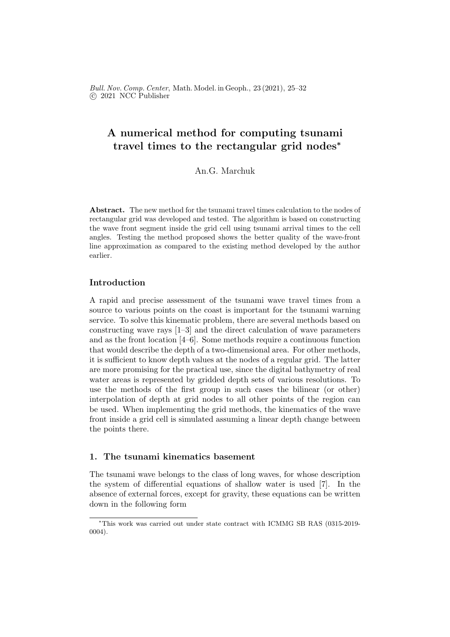Bull. Nov. Comp. Center, Math. Model. in Geoph., 23 (2021), 25–32 c 2021 NCC Publisher

# A numerical method for computing tsunami travel times to the rectangular grid nodes<sup>∗</sup>

An.G. Marchuk

Abstract. The new method for the tsunami travel times calculation to the nodes of rectangular grid was developed and tested. The algorithm is based on constructing the wave front segment inside the grid cell using tsunami arrival times to the cell angles. Testing the method proposed shows the better quality of the wave-front line approximation as compared to the existing method developed by the author earlier.

## Introduction

A rapid and precise assessment of the tsunami wave travel times from a source to various points on the coast is important for the tsunami warning service. To solve this kinematic problem, there are several methods based on constructing wave rays [1–3] and the direct calculation of wave parameters and as the front location [4–6]. Some methods require a continuous function that would describe the depth of a two-dimensional area. For other methods, it is sufficient to know depth values at the nodes of a regular grid. The latter are more promising for the practical use, since the digital bathymetry of real water areas is represented by gridded depth sets of various resolutions. To use the methods of the first group in such cases the bilinear (or other) interpolation of depth at grid nodes to all other points of the region can be used. When implementing the grid methods, the kinematics of the wave front inside a grid cell is simulated assuming a linear depth change between the points there.

#### 1. The tsunami kinematics basement

The tsunami wave belongs to the class of long waves, for whose description the system of differential equations of shallow water is used [7]. In the absence of external forces, except for gravity, these equations can be written down in the following form

<sup>∗</sup>This work was carried out under state contract with ICMMG SB RAS (0315-2019- 0004).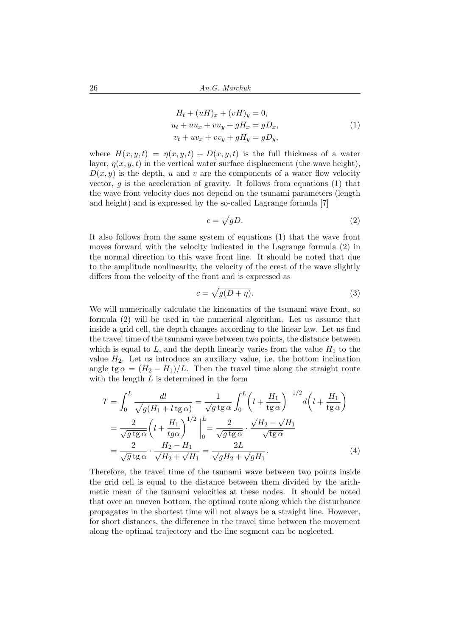$$
H_t + (uH)_x + (vH)_y = 0,
$$
  
\n
$$
u_t + uu_x + vu_y + gH_x = gD_x,
$$
  
\n
$$
v_t + uv_x + vv_y + gH_y = gD_y,
$$
\n(1)

where  $H(x, y, t) = \eta(x, y, t) + D(x, y, t)$  is the full thickness of a water layer,  $\eta(x, y, t)$  in the vertical water surface displacement (the wave height),  $D(x, y)$  is the depth, u and v are the components of a water flow velocity vector,  $q$  is the acceleration of gravity. It follows from equations (1) that the wave front velocity does not depend on the tsunami parameters (length and height) and is expressed by the so-called Lagrange formula [7]

$$
c = \sqrt{gD}.\tag{2}
$$

It also follows from the same system of equations (1) that the wave front moves forward with the velocity indicated in the Lagrange formula (2) in the normal direction to this wave front line. It should be noted that due to the amplitude nonlinearity, the velocity of the crest of the wave slightly differs from the velocity of the front and is expressed as

$$
c = \sqrt{g(D+\eta)}.\tag{3}
$$

We will numerically calculate the kinematics of the tsunami wave front, so formula (2) will be used in the numerical algorithm. Let us assume that inside a grid cell, the depth changes according to the linear law. Let us find the travel time of the tsunami wave between two points, the distance between which is equal to  $L$ , and the depth linearly varies from the value  $H_1$  to the value  $H_2$ . Let us introduce an auxiliary value, i.e. the bottom inclination angle tg  $\alpha = (H_2 - H_1)/L$ . Then the travel time along the straight route with the length  $L$  is determined in the form

$$
T = \int_0^L \frac{dl}{\sqrt{g(H_1 + l \tan \alpha)}} = \frac{1}{\sqrt{g \tan \alpha}} \int_0^L \left( l + \frac{H_1}{\tan \alpha} \right)^{-1/2} d\left( l + \frac{H_1}{\tan \alpha} \right)
$$
  
= 
$$
\frac{2}{\sqrt{g \tan \alpha}} \left( l + \frac{H_1}{t g \alpha} \right)^{1/2} \Big|_0^L = \frac{2}{\sqrt{g \tan \alpha}} \cdot \frac{\sqrt{H_2} - \sqrt{H_1}}{\sqrt{\tan \alpha}}
$$
  
= 
$$
\frac{2}{\sqrt{g \tan \alpha}} \cdot \frac{H_2 - H_1}{\sqrt{H_2} + \sqrt{H_1}} = \frac{2L}{\sqrt{g H_2} + \sqrt{g H_1}}.
$$
(4)

Therefore, the travel time of the tsunami wave between two points inside the grid cell is equal to the distance between them divided by the arithmetic mean of the tsunami velocities at these nodes. It should be noted that over an uneven bottom, the optimal route along which the disturbance propagates in the shortest time will not always be a straight line. However, for short distances, the difference in the travel time between the movement along the optimal trajectory and the line segment can be neglected.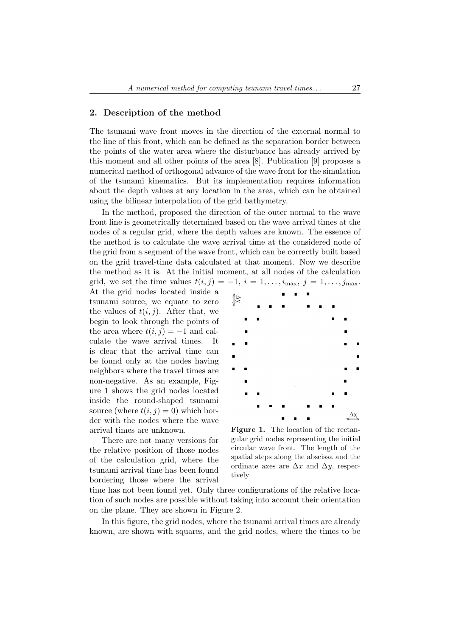#### 2. Description of the method

The tsunami wave front moves in the direction of the external normal to the line of this front, which can be defined as the separation border between the points of the water area where the disturbance has already arrived by this moment and all other points of the area [8]. Publication [9] proposes a numerical method of orthogonal advance of the wave front for the simulation of the tsunami kinematics. But its implementation requires information about the depth values at any location in the area, which can be obtained using the bilinear interpolation of the grid bathymetry.

In the method, proposed the direction of the outer normal to the wave front line is geometrically determined based on the wave arrival times at the nodes of a regular grid, where the depth values are known. The essence of the method is to calculate the wave arrival time at the considered node of the grid from a segment of the wave front, which can be correctly built based on the grid travel-time data calculated at that moment. Now we describe the method as it is. At the initial moment, at all nodes of the calculation grid, we set the time values  $t(i, j) = -1$ ,  $i = 1, \ldots, i_{\text{max}}, j = 1, \ldots, j_{\text{max}}$ . At the grid nodes located inside a ્ર tsunami source, we equate to zero the values of  $t(i, j)$ . After that, we begin to look through the points of the area where  $t(i, j) = -1$  and calculate the wave arrival times. It is clear that the arrival time can be found only at the nodes having neighbors where the travel times are non-negative. As an example, Figure 1 shows the grid nodes located inside the round-shaped tsunami source (where  $t(i, j) = 0$ ) which border with the nodes where the wave arrival times are unknown.

There are not many versions for the relative position of those nodes of the calculation grid, where the tsunami arrival time has been found bordering those where the arrival



Figure 1. The location of the rectangular grid nodes representing the initial circular wave front. The length of the spatial steps along the abscissa and the ordinate axes are  $\Delta x$  and  $\Delta y$ , respectively

time has not been found yet. Only three configurations of the relative location of such nodes are possible without taking into account their orientation on the plane. They are shown in Figure 2.

In this figure, the grid nodes, where the tsunami arrival times are already known, are shown with squares, and the grid nodes, where the times to be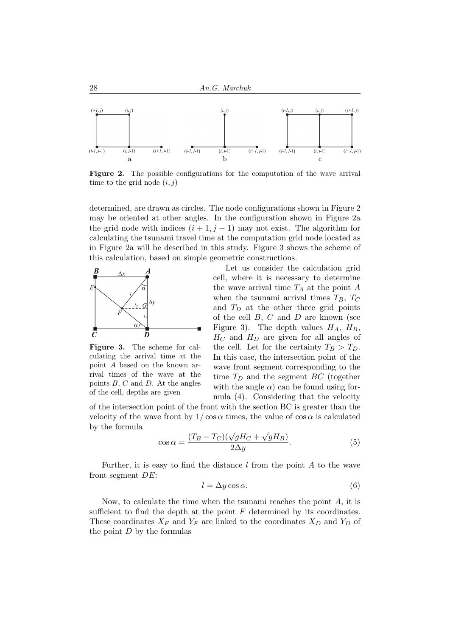

Figure 2. The possible configurations for the computation of the wave arrival time to the grid node  $(i, j)$ 

determined, are drawn as circles. The node configurations shown in Figure 2 may be oriented at other angles. In the configuration shown in Figure 2a the grid node with indices  $(i + 1, j - 1)$  may not exist. The algorithm for calculating the tsunami travel time at the computation grid node located as in Figure 2a will be described in this study. Figure 3 shows the scheme of this calculation, based on simple geometric constructions.



Figure 3. The scheme for calculating the arrival time at the point A based on the known arrival times of the wave at the points  $B, C$  and  $D$ . At the angles of the cell, depths are given

Let us consider the calculation grid cell, where it is necessary to determine the wave arrival time  $T_A$  at the point A when the tsunami arrival times  $T_B$ ,  $T_C$ and  $T_D$  at the other three grid points of the cell  $B, C$  and  $D$  are known (see Figure 3). The depth values  $H_A$ ,  $H_B$ ,  $H_C$  and  $H_D$  are given for all angles of the cell. Let for the certainty  $T_B > T_D$ . In this case, the intersection point of the wave front segment corresponding to the time  $T_D$  and the segment BC (together with the angle  $\alpha$ ) can be found using formula (4). Considering that the velocity

of the intersection point of the front with the section BC is greater than the velocity of the wave front by  $1/\cos \alpha$  times, the value of  $\cos \alpha$  is calculated by the formula √

$$
\cos \alpha = \frac{(T_B - T_C)(\sqrt{gH_C} + \sqrt{gH_B})}{2\Delta y}.
$$
\n(5)

Further, it is easy to find the distance  $l$  from the point  $A$  to the wave front segment DE:

$$
l = \Delta y \cos \alpha. \tag{6}
$$

Now, to calculate the time when the tsunami reaches the point A, it is sufficient to find the depth at the point  $F$  determined by its coordinates. These coordinates  $X_F$  and  $Y_F$  are linked to the coordinates  $X_D$  and  $Y_D$  of the point  $D$  by the formulas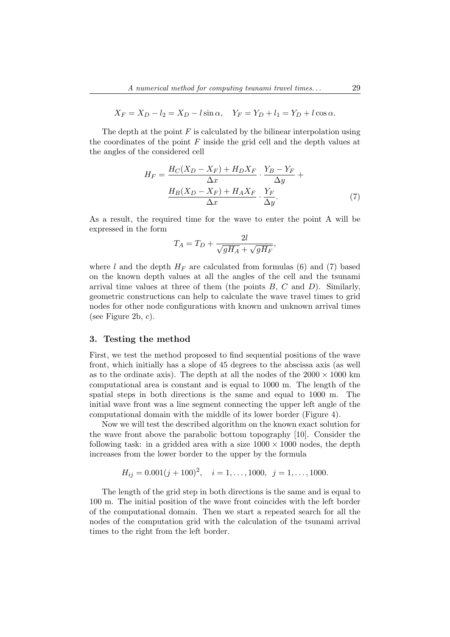$$
X_F = X_D - l_2 = X_D - l \sin \alpha
$$
,  $Y_F = Y_D + l_1 = Y_D + l \cos \alpha$ .

The depth at the point  $F$  is calculated by the bilinear interpolation using the coordinates of the point  $F$  inside the grid cell and the depth values at the angles of the considered cell

$$
H_F = \frac{H_C(X_D - X_F) + H_D X_F}{\Delta x} \cdot \frac{Y_B - Y_F}{\Delta y} + \frac{H_B(X_D - X_F) + H_A X_F}{\Delta x} \cdot \frac{Y_F}{\Delta y}.
$$
 (7)

As a result, the required time for the wave to enter the point A will be expressed in the form  $\sim$ 

$$
T_A = T_D + \frac{2l}{\sqrt{gH_A} + \sqrt{gH_F}},
$$

where l and the depth  $H_F$  are calculated from formulas (6) and (7) based on the known depth values at all the angles of the cell and the tsunami arrival time values at three of them (the points  $B, C$  and  $D$ ). Similarly, geometric constructions can help to calculate the wave travel times to grid nodes for other node configurations with known and unknown arrival times (see Figure 2b, c).

#### 3. Testing the method

First, we test the method proposed to find sequential positions of the wave front, which initially has a slope of 45 degrees to the abscissa axis (as well as to the ordinate axis). The depth at all the nodes of the  $2000 \times 1000$  km computational area is constant and is equal to 1000 m. The length of the spatial steps in both directions is the same and equal to 1000 m. The initial wave front was a line segment connecting the upper left angle of the computational domain with the middle of its lower border (Figure 4).

Now we will test the described algorithm on the known exact solution for the wave front above the parabolic bottom topography [10]. Consider the following task: in a gridded area with a size  $1000 \times 1000$  nodes, the depth increases from the lower border to the upper by the formula

$$
H_{ij} = 0.001(j + 100)^2, \quad i = 1, \dots, 1000, \quad j = 1, \dots, 1000.
$$

The length of the grid step in both directions is the same and is equal to 100 m. The initial position of the wave front coincides with the left border of the computational domain. Then we start a repeated search for all the nodes of the computation grid with the calculation of the tsunami arrival times to the right from the left border.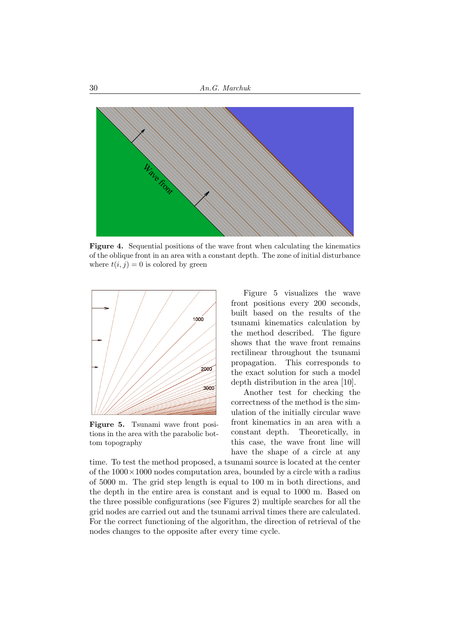

Figure 4. Sequential positions of the wave front when calculating the kinematics of the oblique front in an area with a constant depth. The zone of initial disturbance where  $t(i, j) = 0$  is colored by green



Figure 5. Tsunami wave front positions in the area with the parabolic bottom topography

Figure 5 visualizes the wave front positions every 200 seconds, built based on the results of the tsunami kinematics calculation by the method described. The figure shows that the wave front remains rectilinear throughout the tsunami propagation. This corresponds to the exact solution for such a model depth distribution in the area [10].

Another test for checking the correctness of the method is the simulation of the initially circular wave front kinematics in an area with a constant depth. Theoretically, in this case, the wave front line will have the shape of a circle at any

time. To test the method proposed, a tsunami source is located at the center of the  $1000 \times 1000$  nodes computation area, bounded by a circle with a radius of 5000 m. The grid step length is equal to 100 m in both directions, and the depth in the entire area is constant and is equal to 1000 m. Based on the three possible configurations (see Figures 2) multiple searches for all the grid nodes are carried out and the tsunami arrival times there are calculated. For the correct functioning of the algorithm, the direction of retrieval of the nodes changes to the opposite after every time cycle.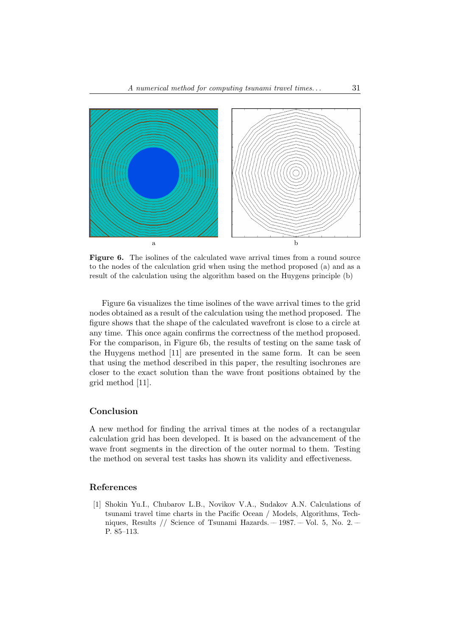

Figure 6. The isolines of the calculated wave arrival times from a round source to the nodes of the calculation grid when using the method proposed (a) and as a result of the calculation using the algorithm based on the Huygens principle (b)

Figure 6a visualizes the time isolines of the wave arrival times to the grid nodes obtained as a result of the calculation using the method proposed. The figure shows that the shape of the calculated wavefront is close to a circle at any time. This once again confirms the correctness of the method proposed. For the comparison, in Figure 6b, the results of testing on the same task of the Huygens method [11] are presented in the same form. It can be seen that using the method described in this paper, the resulting isochrones are closer to the exact solution than the wave front positions obtained by the grid method [11].

### Conclusion

A new method for finding the arrival times at the nodes of a rectangular calculation grid has been developed. It is based on the advancement of the wave front segments in the direction of the outer normal to them. Testing the method on several test tasks has shown its validity and effectiveness.

#### References

[1] Shokin Yu.I., Chubarov L.B., Novikov V.A., Sudakov A.N. Calculations of tsunami travel time charts in the Pacific Ocean / Models, Algorithms, Techniques, Results // Science of Tsunami Hazards.  $-1987. -$  Vol. 5, No. 2.  $-$ P. 85–113.